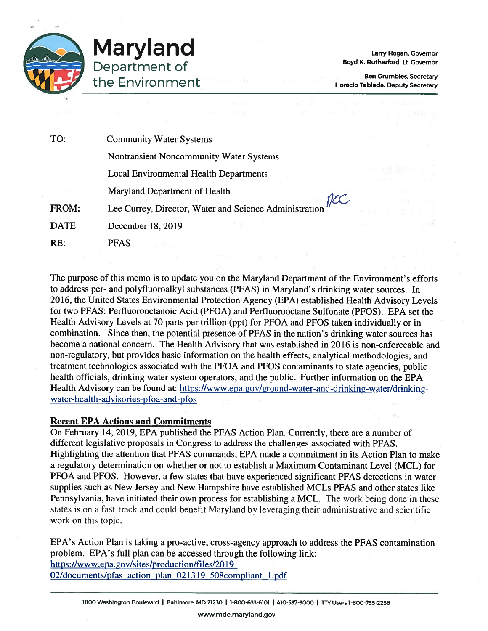

Larry Hogan, Governor Boyd K. Rutherford. Lt. Governor

Ben Crumbles. Secretary Horacio Tablada, Deputy Secretary

| TO:   | <b>Community Water Systems</b>                             |
|-------|------------------------------------------------------------|
|       | Nontransient Noncommunity Water Systems                    |
|       | <b>Local Environmental Health Departments</b>              |
|       | Maryland Department of Health                              |
| FROM: | Lee Currey, Director, Water and Science Administration MCC |
| DATE: | December 18, 2019                                          |
| RE:   | <b>PFAS</b>                                                |

The purpose of this memo is to update you on the Maryland Department of the Environment's efforts to address per- and polyfluoroalkyl substances (PFAS) in Maryland's drinking water sources. In 2016, the United States Environmental Protection Agency (EPA) established Health Advisory Levels for two PFAS: Perfluorooctanoic Acid (PFOA) and Perfluorooctane Sulfonate (PFOS). EPA set the Health Advisory Levels at 70 parts per trillion (ppt) for PFOA and PFOS taken individually or in combination. Since then, the potential presence of PFAS in the nation's drinking water sources has become a national concern. The Health Advisory that was established in 2016 is non-enforceable and non-regulatory, but provides basic information on the health effects, analytical methodologies, and treatment technologies associated with the PFOA and PFOS contaminants to state agencies, public health officials, drinking water system operators, and the public. Further information on the EPA [Health Advisory can be found at: https://www.epa.gov/ground-water-and-drinking-water/drinkin](https://www.epa.gov/ground-water-and-drinking-water/drinking-water-health-advisories-pfoa-and-pfos)gwater-health-advisories-pfoa-and-pfo<sup>s</sup>

## Recent EPA Actions and Commitments

On February 14, 2019, EPA published the PFAS Action Plan. Currently, there are a number of different legislative proposals in Congress to address the challenges associated with PFAS. Highlighting the attention that PFAS commands, EPA made a commitment in its Action Plan to make a regulatory determination on whether or not to establish a Maximum Contaminant Level (MCL) for PFOA and PFOS. However, a few states that have experienced significant PFAS detections in water supplies such as New Jersey and New Hampshire have established MCLs PFAS and other states like Pennsylvania, have initiated their own process for establishing a MCL. The work being done in these states is on a fast-track and could benefit Maryland by leveraging their administrative and scientific work on this topic.

EPA's Action Plan is taking a pro-active, cross-agency approach to address the PFAS contamination problem. EPA's full plan can be accessed through the following link: https://www .epa.gov/sites/production/files/2019-

[02/documents/pfas action plan 021319 508compliant 1.pdf](https://www.epa.gov/sites/production/files/2019-02/documents/pfas_action_plan_021319_508compliant_1.pdf)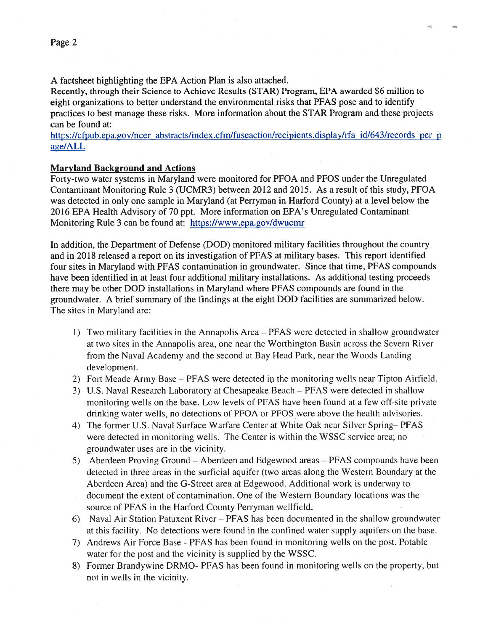A factsheet highlighting the EPA Action Plan is also attached.

Recently, through their Science to Achieve Results (STAR) Program, EPA awarded \$6 million to eight organizations to better understand the environmental risks that PFAS pose and to identify practices to best manage these risks. More information about the ST AR Program and these projects can be found at:

[https://cfpub.epa.gov/ncer abstracts/index.cfm/fuseaction/recipients.display/rfa id/643/records per p](https://cfpub.epa.gov/ncer_abstracts/index.cfm/fuseaction/recipients.display/rfa_id/643/records_per_page/ALL)  age/ALL

## **Maryland Background and Actions**

Forty-two water systems in Maryland were monitored for PFOA and PFOS under the Unregulated Contaminant Monitoring Rule 3 (UCMR3) between 2012 and 2015. As a result of this study, PFOA was detected in only one sample in Maryland (at Perryman in Harford County) at a level below the 2016 EPA Health Advisory of 70 ppt. More information on EPA's Unregulated Contaminant Monitoring Rule 3 can be found at: <https://www.epa.gov/dwucmr>

In addition, the Department of Defense (DOD) monitored military facilities throughout the country and in 2018 released a report on its investigation of PFAS at military bases. This report identified four sites in Maryland with PFAS contamination in groundwater. Since that time, PFAS compounds have been identified in at least four additional military installations. As additional testing proceeds there may be other DOD installations in Maryland where PFAS compounds are found in the groundwater. A brief summary of the findings at the eight DOD facilities are summarized below. The sites in Maryland are:

- l) Two military facilities in the Annapolis Area PFAS were detected in shallow groundwater at two sites in the Annapolis area, one near the Worthington Basin across the Severn River from the Naval Academy and the second at Bay Head Park, near the Woods Landing development.
- 2) Fort Meade Army Base PFAS were detected in the monitoring wells near Tipton Airfield.
- 3) U.S. Naval Research Laboratory at Chesapeake Beach PFAS were detected in shallow monitoring wells on the base. Low levels of PFAS have been found at a few off-site private drinking water wells, no detections of PFOA or PFOS were above the health advisories.
- 4) The former U.S. Naval Surface Warfare Center at White Oak near Silver Spring- PFAS were detected in monitoring wells. The Center is within the WSSC service area; no groundwater uses are in the vicinity.
- 5) Aberdeen Proving Ground Aberdeen and Edgewood areas PFAS compounds have been detected in three areas in the surficial aquifer (two areas along the Western Boundary at the Aberdeen Area) and the G-Street area at Edgewood. Additional work is underway to document the extent of contamination. One of the Western Boundary locations was the source of PFAS in the Harford County Perryman wellfield.
- 6) Naval Air Station Patuxent River PFAS has been documented in the shallow groundwater at this facility. No detections were found in the confined water supply aquifers on the base.
- 7) Andrews Air Force Base PFAS has been found in monitoring wells on the post. Potable water for the post and the vicinity is supplied by the WSSC.
- 8) Former Brandywine DRMO- PFAS has been found in monitoring wells on the property, but not in wells in the vicinity.